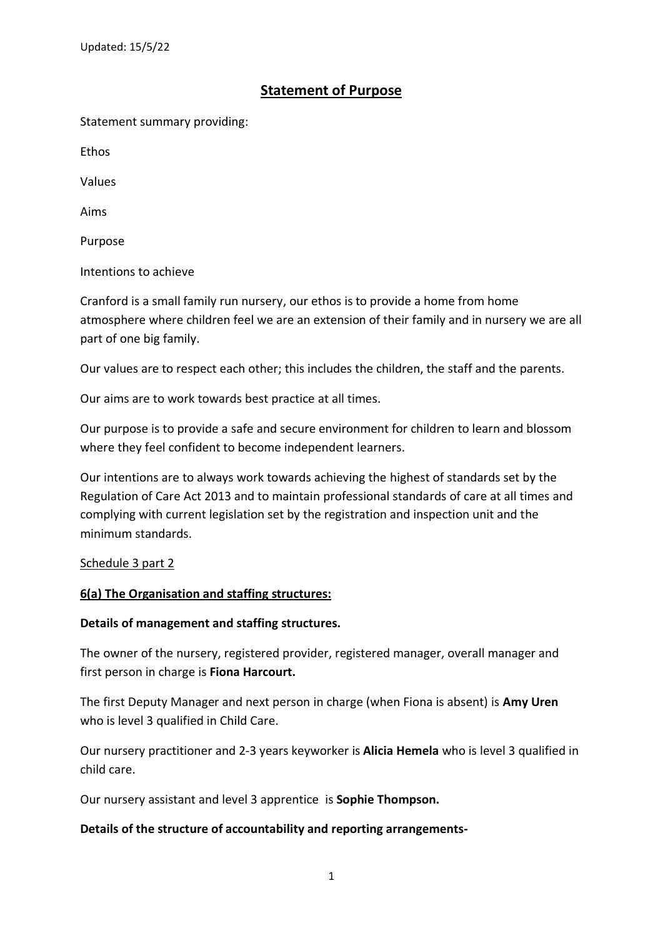# **Statement of Purpose**

Statement summary providing:

Ethos

Values

Aims

Purpose

Intentions to achieve

Cranford is a small family run nursery, our ethos is to provide a home from home atmosphere where children feel we are an extension of their family and in nursery we are all part of one big family.

Our values are to respect each other; this includes the children, the staff and the parents.

Our aims are to work towards best practice at all times.

Our purpose is to provide a safe and secure environment for children to learn and blossom where they feel confident to become independent learners.

Our intentions are to always work towards achieving the highest of standards set by the Regulation of Care Act 2013 and to maintain professional standards of care at all times and complying with current legislation set by the registration and inspection unit and the minimum standards.

#### Schedule 3 part 2

### **6(a) The Organisation and staffing structures:**

#### **Details of management and staffing structures.**

The owner of the nursery, registered provider, registered manager, overall manager and first person in charge is **Fiona Harcourt.**

The first Deputy Manager and next person in charge (when Fiona is absent) is **Amy Uren**  who is level 3 qualified in Child Care.

Our nursery practitioner and 2-3 years keyworker is **Alicia Hemela** who is level 3 qualified in child care.

Our nursery assistant and level 3 apprentice is **Sophie Thompson.**

#### **Details of the structure of accountability and reporting arrangements-**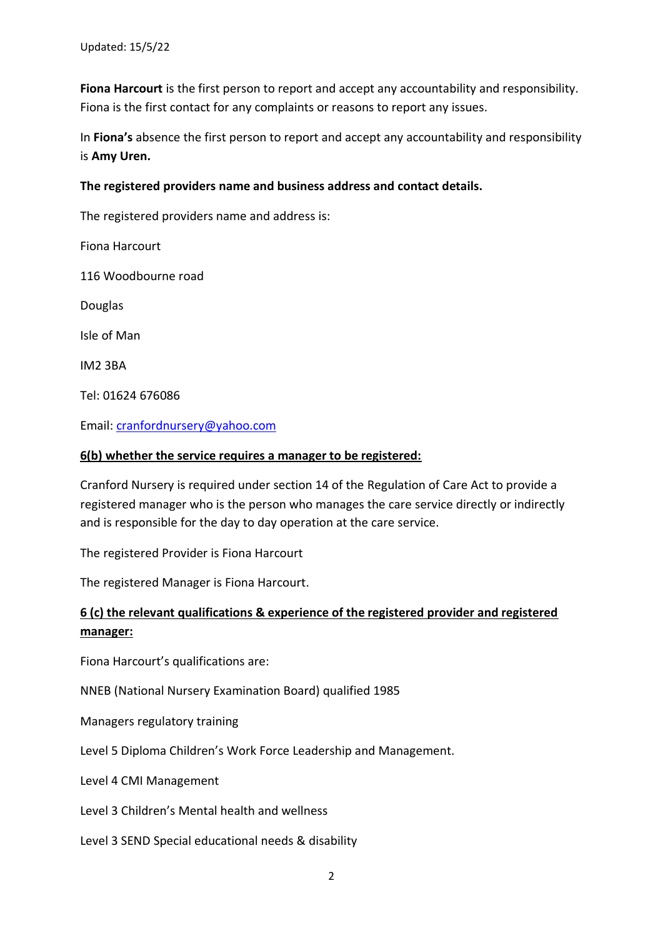**Fiona Harcourt** is the first person to report and accept any accountability and responsibility. Fiona is the first contact for any complaints or reasons to report any issues.

In **Fiona's** absence the first person to report and accept any accountability and responsibility is **Amy Uren.**

### **The registered providers name and business address and contact details.**

The registered providers name and address is:

Fiona Harcourt

116 Woodbourne road

Douglas

Isle of Man

IM2 3BA

Tel: 01624 676086

Email: [cranfordnursery@yahoo.com](mailto:cranfordnursery@yahoo.com)

#### **6(b) whether the service requires a manager to be registered:**

Cranford Nursery is required under section 14 of the Regulation of Care Act to provide a registered manager who is the person who manages the care service directly or indirectly and is responsible for the day to day operation at the care service.

The registered Provider is Fiona Harcourt

The registered Manager is Fiona Harcourt.

## **6 (c) the relevant qualifications & experience of the registered provider and registered manager:**

Fiona Harcourt's qualifications are:

NNEB (National Nursery Examination Board) qualified 1985

Managers regulatory training

Level 5 Diploma Children's Work Force Leadership and Management.

Level 4 CMI Management

Level 3 Children's Mental health and wellness

Level 3 SEND Special educational needs & disability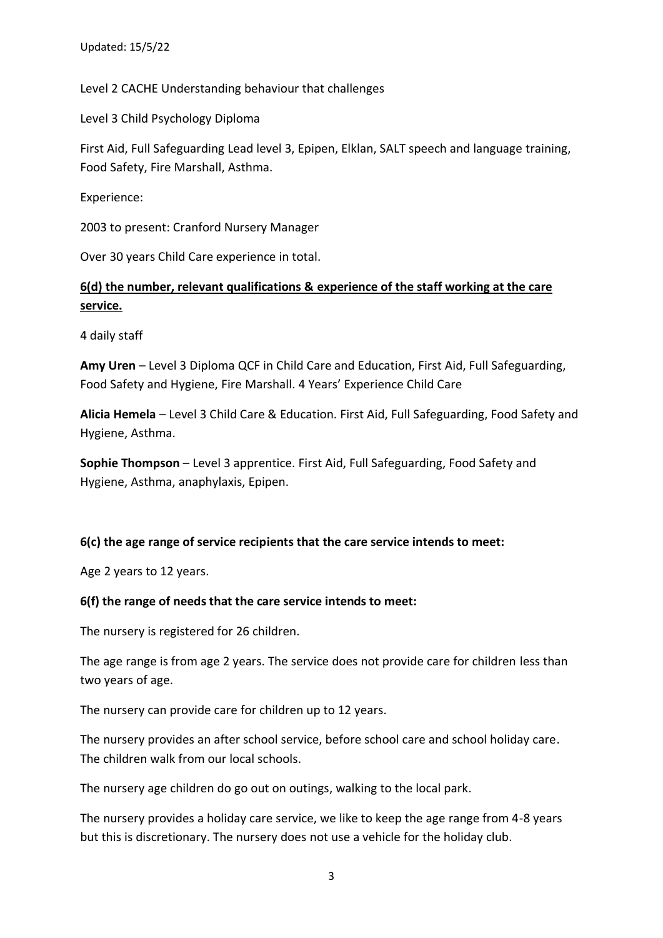Level 2 CACHE Understanding behaviour that challenges

Level 3 Child Psychology Diploma

First Aid, Full Safeguarding Lead level 3, Epipen, Elklan, SALT speech and language training, Food Safety, Fire Marshall, Asthma.

Experience:

2003 to present: Cranford Nursery Manager

Over 30 years Child Care experience in total.

# **6(d) the number, relevant qualifications & experience of the staff working at the care service.**

4 daily staff

**Amy Uren** – Level 3 Diploma QCF in Child Care and Education, First Aid, Full Safeguarding, Food Safety and Hygiene, Fire Marshall. 4 Years' Experience Child Care

**Alicia Hemela** – Level 3 Child Care & Education. First Aid, Full Safeguarding, Food Safety and Hygiene, Asthma.

**Sophie Thompson** – Level 3 apprentice. First Aid, Full Safeguarding, Food Safety and Hygiene, Asthma, anaphylaxis, Epipen.

### **6(c) the age range of service recipients that the care service intends to meet:**

Age 2 years to 12 years.

#### **6(f) the range of needs that the care service intends to meet:**

The nursery is registered for 26 children.

The age range is from age 2 years. The service does not provide care for children less than two years of age.

The nursery can provide care for children up to 12 years.

The nursery provides an after school service, before school care and school holiday care. The children walk from our local schools.

The nursery age children do go out on outings, walking to the local park.

The nursery provides a holiday care service, we like to keep the age range from 4-8 years but this is discretionary. The nursery does not use a vehicle for the holiday club.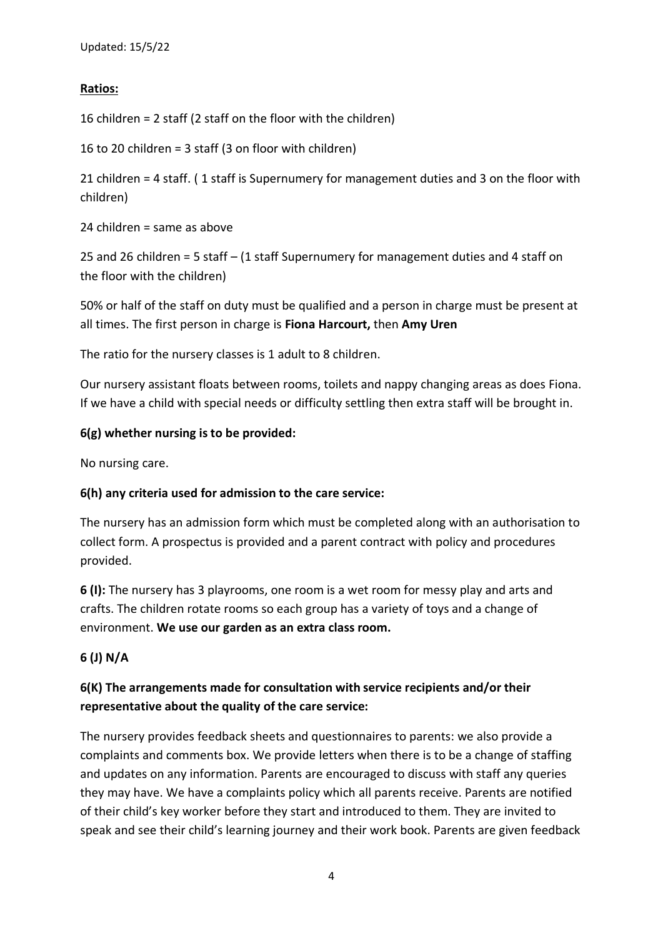### **Ratios:**

16 children = 2 staff (2 staff on the floor with the children)

16 to 20 children = 3 staff (3 on floor with children)

21 children = 4 staff. ( 1 staff is Supernumery for management duties and 3 on the floor with children)

24 children = same as above

25 and 26 children = 5 staff – (1 staff Supernumery for management duties and 4 staff on the floor with the children)

50% or half of the staff on duty must be qualified and a person in charge must be present at all times. The first person in charge is **Fiona Harcourt,** then **Amy Uren**

The ratio for the nursery classes is 1 adult to 8 children.

Our nursery assistant floats between rooms, toilets and nappy changing areas as does Fiona. If we have a child with special needs or difficulty settling then extra staff will be brought in.

### **6(g) whether nursing is to be provided:**

No nursing care.

### **6(h) any criteria used for admission to the care service:**

The nursery has an admission form which must be completed along with an authorisation to collect form. A prospectus is provided and a parent contract with policy and procedures provided.

**6 (I):** The nursery has 3 playrooms, one room is a wet room for messy play and arts and crafts. The children rotate rooms so each group has a variety of toys and a change of environment. **We use our garden as an extra class room.**

## **6 (J) N/A**

# **6(K) The arrangements made for consultation with service recipients and/or their representative about the quality of the care service:**

The nursery provides feedback sheets and questionnaires to parents: we also provide a complaints and comments box. We provide letters when there is to be a change of staffing and updates on any information. Parents are encouraged to discuss with staff any queries they may have. We have a complaints policy which all parents receive. Parents are notified of their child's key worker before they start and introduced to them. They are invited to speak and see their child's learning journey and their work book. Parents are given feedback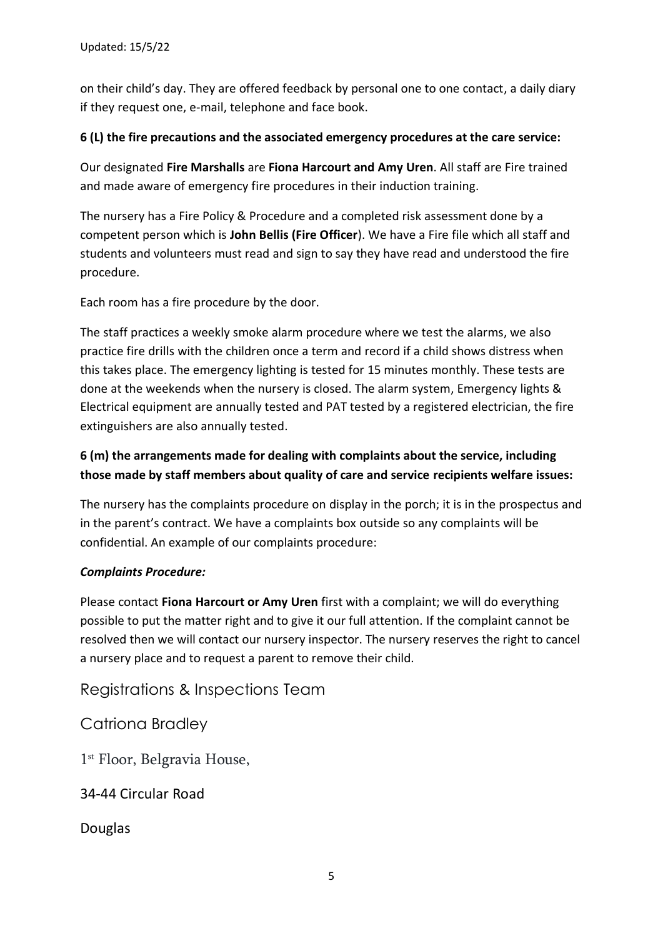on their child's day. They are offered feedback by personal one to one contact, a daily diary if they request one, e-mail, telephone and face book.

### **6 (L) the fire precautions and the associated emergency procedures at the care service:**

Our designated **Fire Marshalls** are **Fiona Harcourt and Amy Uren**. All staff are Fire trained and made aware of emergency fire procedures in their induction training.

The nursery has a Fire Policy & Procedure and a completed risk assessment done by a competent person which is **John Bellis (Fire Officer**). We have a Fire file which all staff and students and volunteers must read and sign to say they have read and understood the fire procedure.

Each room has a fire procedure by the door.

The staff practices a weekly smoke alarm procedure where we test the alarms, we also practice fire drills with the children once a term and record if a child shows distress when this takes place. The emergency lighting is tested for 15 minutes monthly. These tests are done at the weekends when the nursery is closed. The alarm system, Emergency lights & Electrical equipment are annually tested and PAT tested by a registered electrician, the fire extinguishers are also annually tested.

# **6 (m) the arrangements made for dealing with complaints about the service, including those made by staff members about quality of care and service recipients welfare issues:**

The nursery has the complaints procedure on display in the porch; it is in the prospectus and in the parent's contract. We have a complaints box outside so any complaints will be confidential. An example of our complaints procedure:

### *Complaints Procedure:*

Please contact **Fiona Harcourt or Amy Uren** first with a complaint; we will do everything possible to put the matter right and to give it our full attention. If the complaint cannot be resolved then we will contact our nursery inspector. The nursery reserves the right to cancel a nursery place and to request a parent to remove their child.

Registrations & Inspections Team

Catriona Bradley

1 st Floor, Belgravia House,

34-44 Circular Road

Douglas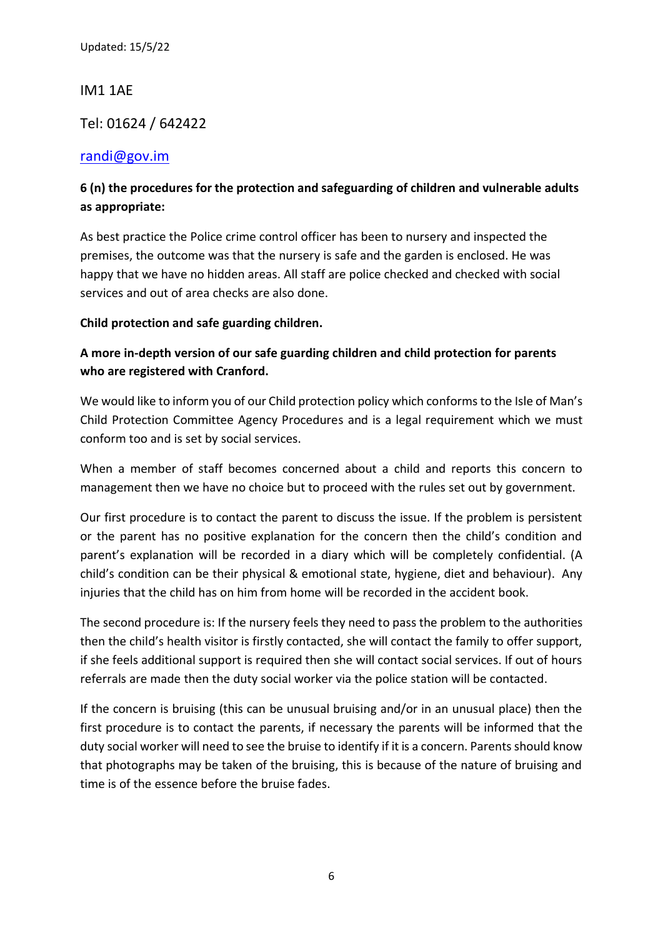IM1 1AE

Tel: 01624 / 642422

## [randi@gov.im](mailto:randi@gov.im)

# **6 (n) the procedures for the protection and safeguarding of children and vulnerable adults as appropriate:**

As best practice the Police crime control officer has been to nursery and inspected the premises, the outcome was that the nursery is safe and the garden is enclosed. He was happy that we have no hidden areas. All staff are police checked and checked with social services and out of area checks are also done.

### **Child protection and safe guarding children.**

# **A more in-depth version of our safe guarding children and child protection for parents who are registered with Cranford.**

We would like to inform you of our Child protection policy which conforms to the Isle of Man's Child Protection Committee Agency Procedures and is a legal requirement which we must conform too and is set by social services.

When a member of staff becomes concerned about a child and reports this concern to management then we have no choice but to proceed with the rules set out by government.

Our first procedure is to contact the parent to discuss the issue. If the problem is persistent or the parent has no positive explanation for the concern then the child's condition and parent's explanation will be recorded in a diary which will be completely confidential. (A child's condition can be their physical & emotional state, hygiene, diet and behaviour). Any injuries that the child has on him from home will be recorded in the accident book.

The second procedure is: If the nursery feels they need to pass the problem to the authorities then the child's health visitor is firstly contacted, she will contact the family to offer support, if she feels additional support is required then she will contact social services. If out of hours referrals are made then the duty social worker via the police station will be contacted.

If the concern is bruising (this can be unusual bruising and/or in an unusual place) then the first procedure is to contact the parents, if necessary the parents will be informed that the duty social worker will need to see the bruise to identify if it is a concern. Parents should know that photographs may be taken of the bruising, this is because of the nature of bruising and time is of the essence before the bruise fades.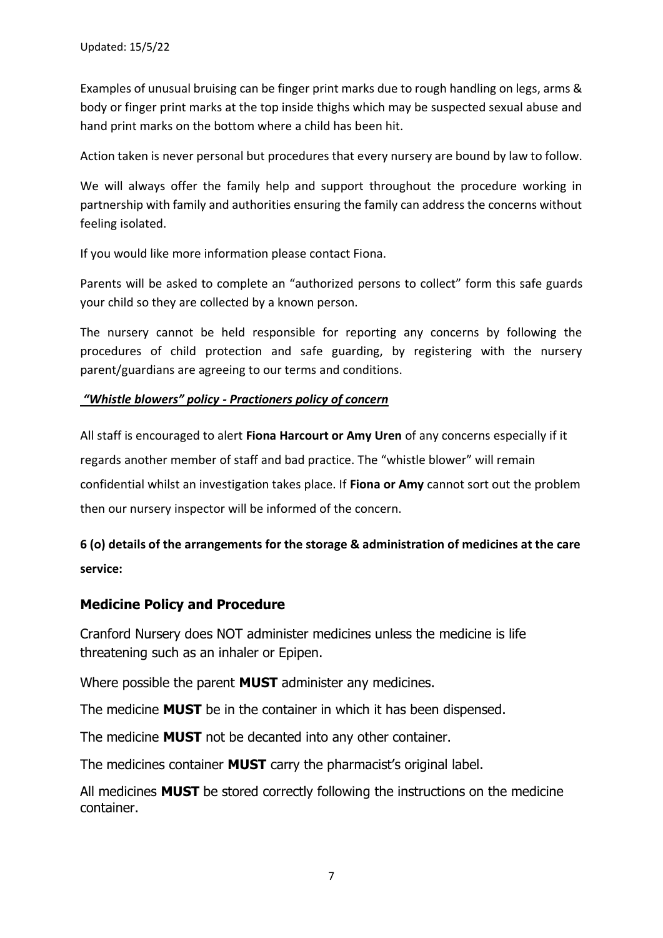Examples of unusual bruising can be finger print marks due to rough handling on legs, arms & body or finger print marks at the top inside thighs which may be suspected sexual abuse and hand print marks on the bottom where a child has been hit.

Action taken is never personal but procedures that every nursery are bound by law to follow.

We will always offer the family help and support throughout the procedure working in partnership with family and authorities ensuring the family can address the concerns without feeling isolated.

If you would like more information please contact Fiona.

Parents will be asked to complete an "authorized persons to collect" form this safe guards your child so they are collected by a known person.

The nursery cannot be held responsible for reporting any concerns by following the procedures of child protection and safe guarding, by registering with the nursery parent/guardians are agreeing to our terms and conditions.

#### *"Whistle blowers" policy - Practioners policy of concern*

All staff is encouraged to alert **Fiona Harcourt or Amy Uren** of any concerns especially if it regards another member of staff and bad practice. The "whistle blower" will remain confidential whilst an investigation takes place. If **Fiona or Amy** cannot sort out the problem then our nursery inspector will be informed of the concern.

# **6 (o) details of the arrangements for the storage & administration of medicines at the care service:**

### **Medicine Policy and Procedure**

Cranford Nursery does NOT administer medicines unless the medicine is life threatening such as an inhaler or Epipen.

Where possible the parent **MUST** administer any medicines.

The medicine **MUST** be in the container in which it has been dispensed.

The medicine **MUST** not be decanted into any other container.

The medicines container **MUST** carry the pharmacist's original label.

All medicines **MUST** be stored correctly following the instructions on the medicine container.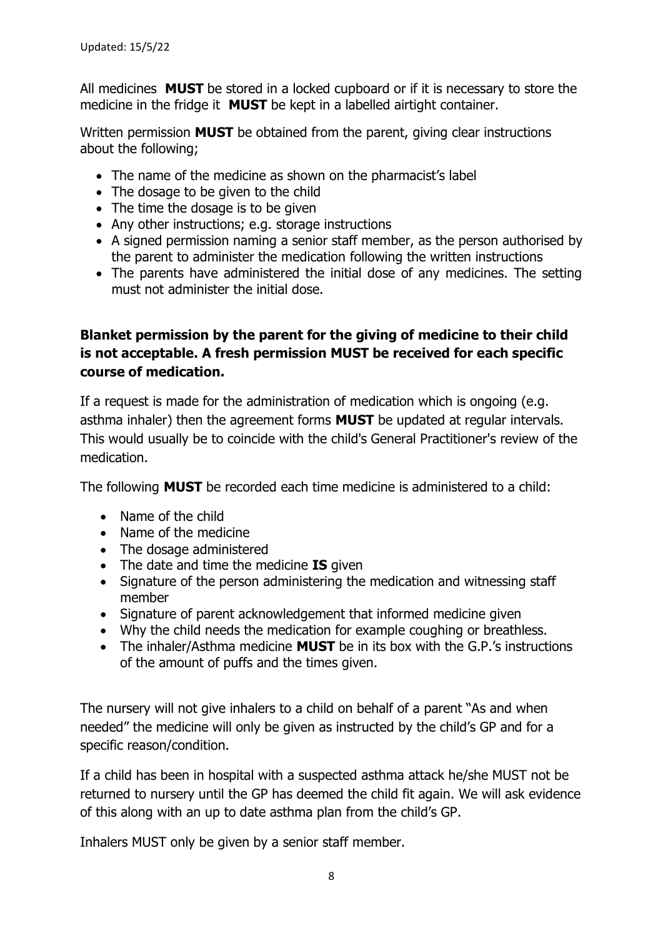All medicines **MUST** be stored in a locked cupboard or if it is necessary to store the medicine in the fridge it **MUST** be kept in a labelled airtight container.

Written permission **MUST** be obtained from the parent, giving clear instructions about the following;

- The name of the medicine as shown on the pharmacist's label
- The dosage to be given to the child
- The time the dosage is to be given
- Any other instructions; e.g. storage instructions
- A signed permission naming a senior staff member, as the person authorised by the parent to administer the medication following the written instructions
- The parents have administered the initial dose of any medicines. The setting must not administer the initial dose.

# **Blanket permission by the parent for the giving of medicine to their child is not acceptable. A fresh permission MUST be received for each specific course of medication.**

If a request is made for the administration of medication which is ongoing (e.g. asthma inhaler) then the agreement forms **MUST** be updated at regular intervals. This would usually be to coincide with the child's General Practitioner's review of the medication.

The following **MUST** be recorded each time medicine is administered to a child:

- Name of the child
- Name of the medicine
- The dosage administered
- The date and time the medicine **IS** given
- Signature of the person administering the medication and witnessing staff member
- Signature of parent acknowledgement that informed medicine given
- Why the child needs the medication for example coughing or breathless.
- The inhaler/Asthma medicine **MUST** be in its box with the G.P.'s instructions of the amount of puffs and the times given.

The nursery will not give inhalers to a child on behalf of a parent "As and when needed" the medicine will only be given as instructed by the child's GP and for a specific reason/condition.

If a child has been in hospital with a suspected asthma attack he/she MUST not be returned to nursery until the GP has deemed the child fit again. We will ask evidence of this along with an up to date asthma plan from the child's GP.

Inhalers MUST only be given by a senior staff member.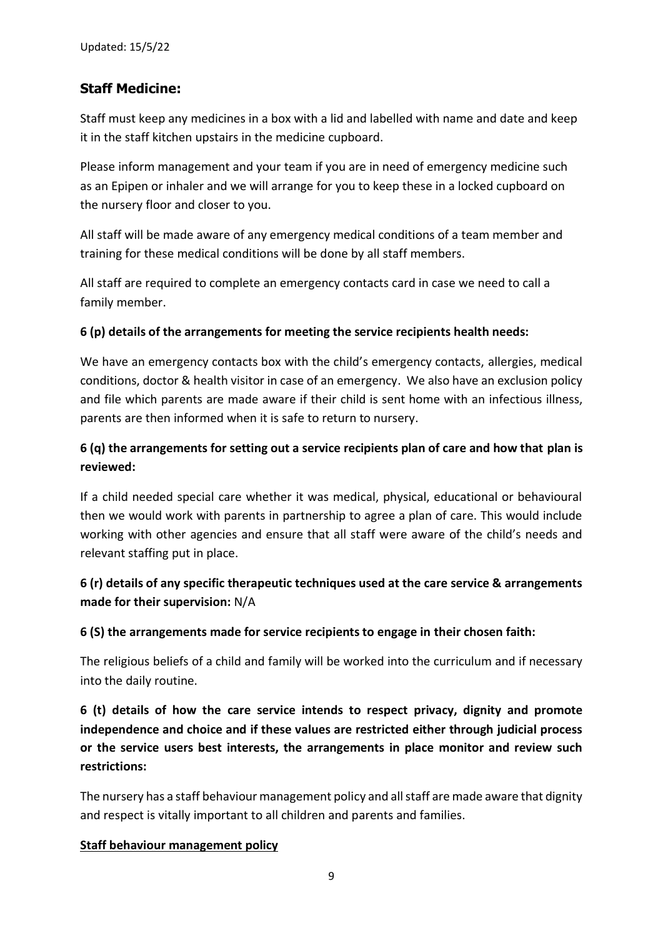# **Staff Medicine:**

Staff must keep any medicines in a box with a lid and labelled with name and date and keep it in the staff kitchen upstairs in the medicine cupboard.

Please inform management and your team if you are in need of emergency medicine such as an Epipen or inhaler and we will arrange for you to keep these in a locked cupboard on the nursery floor and closer to you.

All staff will be made aware of any emergency medical conditions of a team member and training for these medical conditions will be done by all staff members.

All staff are required to complete an emergency contacts card in case we need to call a family member.

### **6 (p) details of the arrangements for meeting the service recipients health needs:**

We have an emergency contacts box with the child's emergency contacts, allergies, medical conditions, doctor & health visitor in case of an emergency. We also have an exclusion policy and file which parents are made aware if their child is sent home with an infectious illness, parents are then informed when it is safe to return to nursery.

# **6 (q) the arrangements for setting out a service recipients plan of care and how that plan is reviewed:**

If a child needed special care whether it was medical, physical, educational or behavioural then we would work with parents in partnership to agree a plan of care. This would include working with other agencies and ensure that all staff were aware of the child's needs and relevant staffing put in place.

# **6 (r) details of any specific therapeutic techniques used at the care service & arrangements made for their supervision:** N/A

## **6 (S) the arrangements made for service recipients to engage in their chosen faith:**

The religious beliefs of a child and family will be worked into the curriculum and if necessary into the daily routine.

**6 (t) details of how the care service intends to respect privacy, dignity and promote independence and choice and if these values are restricted either through judicial process or the service users best interests, the arrangements in place monitor and review such restrictions:**

The nursery has a staff behaviour management policy and all staff are made aware that dignity and respect is vitally important to all children and parents and families.

### **Staff behaviour management policy**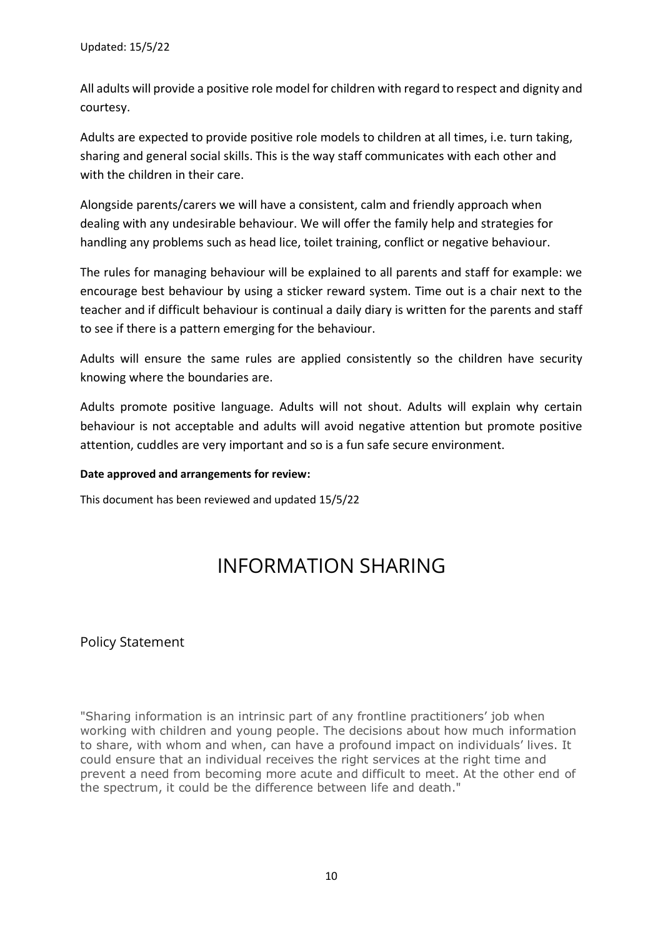All adults will provide a positive role model for children with regard to respect and dignity and courtesy.

Adults are expected to provide positive role models to children at all times, i.e. turn taking, sharing and general social skills. This is the way staff communicates with each other and with the children in their care.

Alongside parents/carers we will have a consistent, calm and friendly approach when dealing with any undesirable behaviour. We will offer the family help and strategies for handling any problems such as head lice, toilet training, conflict or negative behaviour.

The rules for managing behaviour will be explained to all parents and staff for example: we encourage best behaviour by using a sticker reward system. Time out is a chair next to the teacher and if difficult behaviour is continual a daily diary is written for the parents and staff to see if there is a pattern emerging for the behaviour.

Adults will ensure the same rules are applied consistently so the children have security knowing where the boundaries are.

Adults promote positive language. Adults will not shout. Adults will explain why certain behaviour is not acceptable and adults will avoid negative attention but promote positive attention, cuddles are very important and so is a fun safe secure environment.

#### **Date approved and arrangements for review:**

This document has been reviewed and updated 15/5/22

# INFORMATION SHARING

## Policy Statement

"Sharing information is an intrinsic part of any frontline practitioners' job when working with children and young people. The decisions about how much information to share, with whom and when, can have a profound impact on individuals' lives. It could ensure that an individual receives the right services at the right time and prevent a need from becoming more acute and difficult to meet. At the other end of the spectrum, it could be the difference between life and death."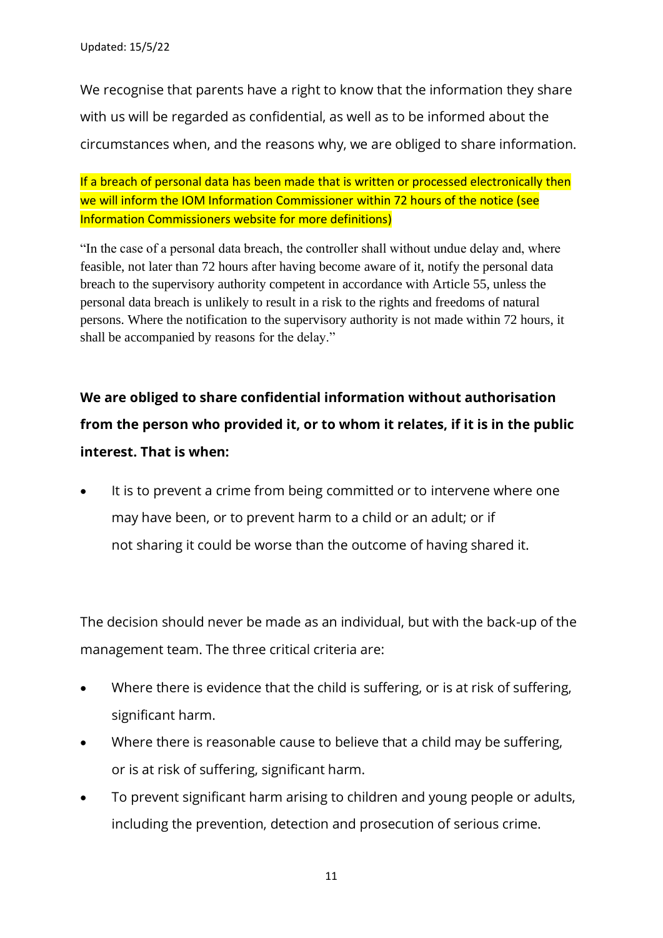We recognise that parents have a right to know that the information they share with us will be regarded as confidential, as well as to be informed about the circumstances when, and the reasons why, we are obliged to share information.

If a breach of personal data has been made that is written or processed electronically then we will inform the IOM Information Commissioner within 72 hours of the notice (see Information Commissioners website for more definitions)

"In the case of a personal data breach, the controller shall without undue delay and, where feasible, not later than 72 hours after having become aware of it, notify the personal data breach to the supervisory authority competent in accordance with Article 55, unless the personal data breach is unlikely to result in a risk to the rights and freedoms of natural persons. Where the notification to the supervisory authority is not made within 72 hours, it shall be accompanied by reasons for the delay."

# **We are obliged to share confidential information without authorisation from the person who provided it, or to whom it relates, if it is in the public interest. That is when:**

It is to prevent a crime from being committed or to intervene where one may have been, or to prevent harm to a child or an adult; or if not sharing it could be worse than the outcome of having shared it.

The decision should never be made as an individual, but with the back-up of the management team. The three critical criteria are:

- Where there is evidence that the child is suffering, or is at risk of suffering, significant harm.
- Where there is reasonable cause to believe that a child may be suffering, or is at risk of suffering, significant harm.
- To prevent significant harm arising to children and young people or adults, including the prevention, detection and prosecution of serious crime.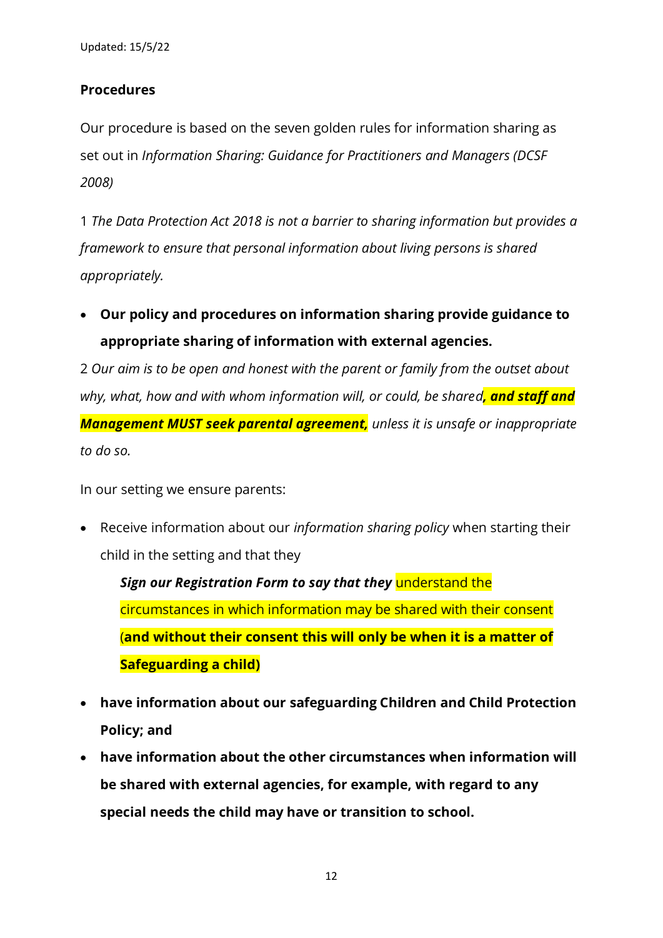Updated: 15/5/22

# **Procedures**

Our procedure is based on the seven golden rules for information sharing as set out in *Information Sharing: Guidance for Practitioners and Managers (DCSF 2008)*

1 *The Data Protection Act 2018 is not a barrier to sharing information but provides a framework to ensure that personal information about living persons is shared appropriately.*

• **Our policy and procedures on information sharing provide guidance to appropriate sharing of information with external agencies.**

2 *Our aim is to be open and honest with the parent or family from the outset about why, what, how and with whom information will, or could, be shared, and staff and Management MUST seek parental agreement, unless it is unsafe or inappropriate to do so.*

In our setting we ensure parents:

• Receive information about our *information sharing policy* when starting their child in the setting and that they

*Sign our Registration Form to say that they* understand the circumstances in which information may be shared with their consent (**and without their consent this will only be when it is a matter of Safeguarding a child)**

- **have information about our safeguarding Children and Child Protection Policy; and**
- **have information about the other circumstances when information will be shared with external agencies, for example, with regard to any special needs the child may have or transition to school.**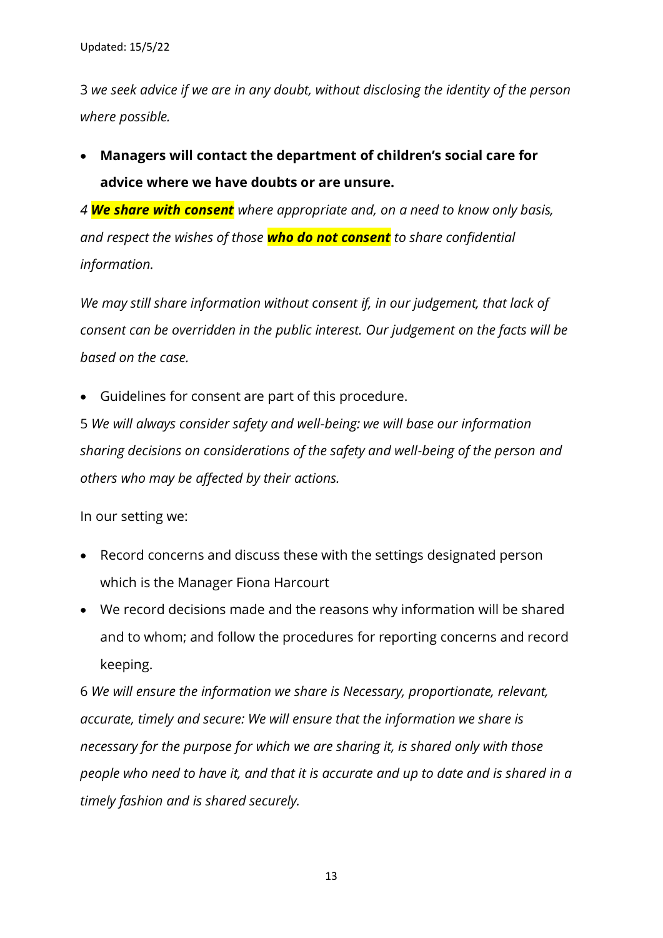3 *we seek advice if we are in any doubt, without disclosing the identity of the person where possible.*

• **Managers will contact the department of children's social care for advice where we have doubts or are unsure.**

*4 We share with consent where appropriate and, on a need to know only basis, and respect the wishes of those who do not consent to share confidential information.* 

*We may still share information without consent if, in our judgement, that lack of consent can be overridden in the public interest. Our judgement on the facts will be based on the case.*

• Guidelines for consent are part of this procedure.

5 *We will always consider safety and well-being: we will base our information sharing decisions on considerations of the safety and well-being of the person and others who may be affected by their actions.*

In our setting we:

- Record concerns and discuss these with the settings designated person which is the Manager Fiona Harcourt
- We record decisions made and the reasons why information will be shared and to whom; and follow the procedures for reporting concerns and record keeping.

6 *We will ensure the information we share is Necessary, proportionate, relevant, accurate, timely and secure: We will ensure that the information we share is necessary for the purpose for which we are sharing it, is shared only with those people who need to have it, and that it is accurate and up to date and is shared in a timely fashion and is shared securely.*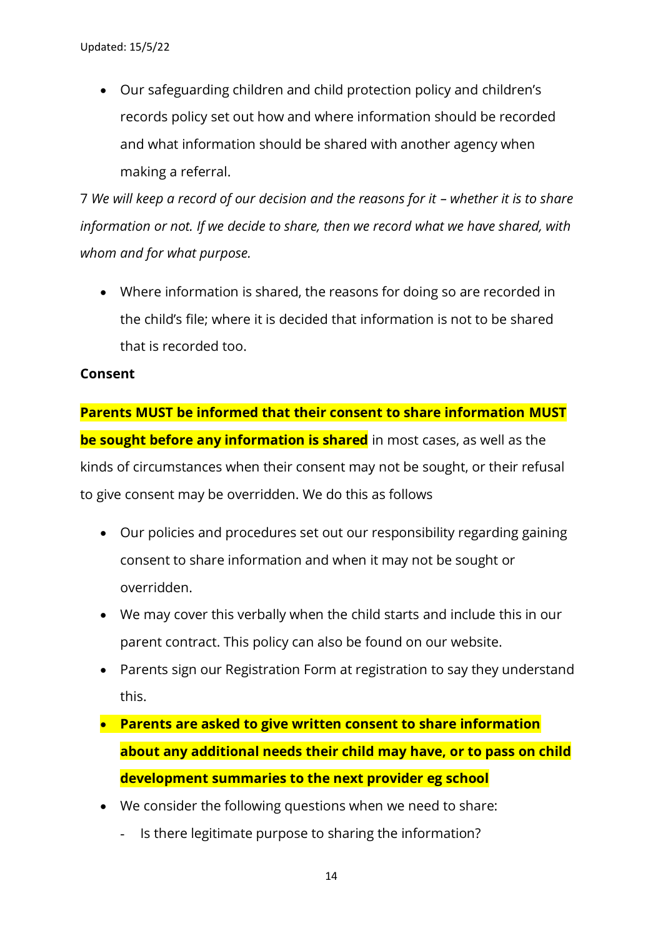• Our safeguarding children and child protection policy and children's records policy set out how and where information should be recorded and what information should be shared with another agency when making a referral.

7 We will keep a record of our decision and the reasons for it – whether it is to share *information or not. If we decide to share, then we record what we have shared, with whom and for what purpose.*

• Where information is shared, the reasons for doing so are recorded in the child's file; where it is decided that information is not to be shared that is recorded too.

## **Consent**

**Parents MUST be informed that their consent to share information MUST be sought before any information is shared** in most cases, as well as the kinds of circumstances when their consent may not be sought, or their refusal to give consent may be overridden. We do this as follows

- Our policies and procedures set out our responsibility regarding gaining consent to share information and when it may not be sought or overridden.
- We may cover this verbally when the child starts and include this in our parent contract. This policy can also be found on our website.
- Parents sign our Registration Form at registration to say they understand this.
- **Parents are asked to give written consent to share information about any additional needs their child may have, or to pass on child development summaries to the next provider eg school**
- We consider the following questions when we need to share:
	- Is there legitimate purpose to sharing the information?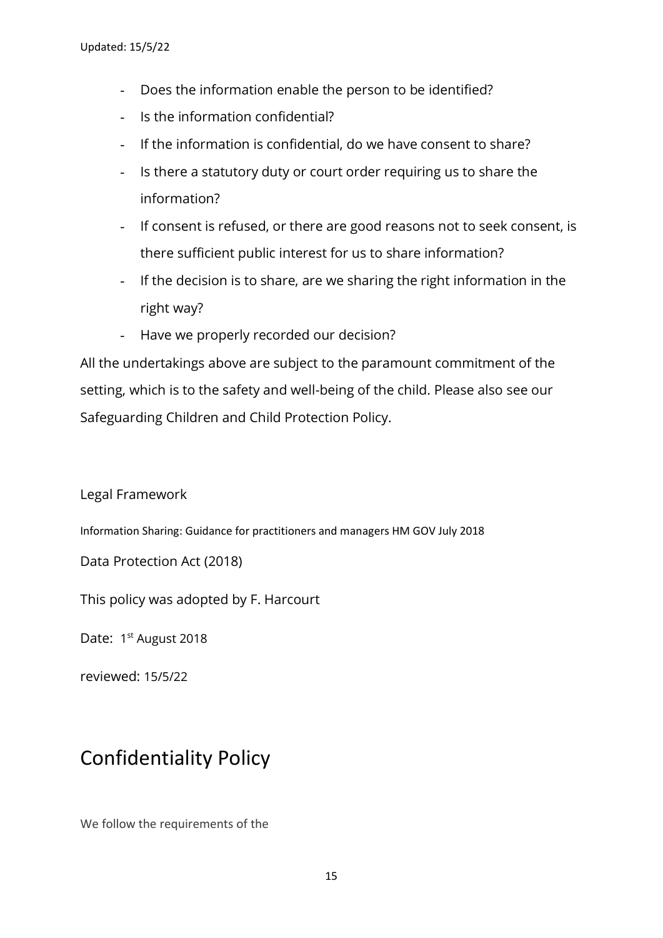- Does the information enable the person to be identified?
- Is the information confidential?
- If the information is confidential, do we have consent to share?
- Is there a statutory duty or court order requiring us to share the information?
- If consent is refused, or there are good reasons not to seek consent, is there sufficient public interest for us to share information?
- If the decision is to share, are we sharing the right information in the right way?
- Have we properly recorded our decision?

All the undertakings above are subject to the paramount commitment of the setting, which is to the safety and well-being of the child. Please also see our Safeguarding Children and Child Protection Policy.

Legal Framework

Information Sharing: Guidance for practitioners and managers HM GOV July 2018

Data Protection Act (2018)

This policy was adopted by F. Harcourt

Date: 1<sup>st</sup> August 2018

reviewed: 15/5/22

# Confidentiality Policy

We follow the requirements of the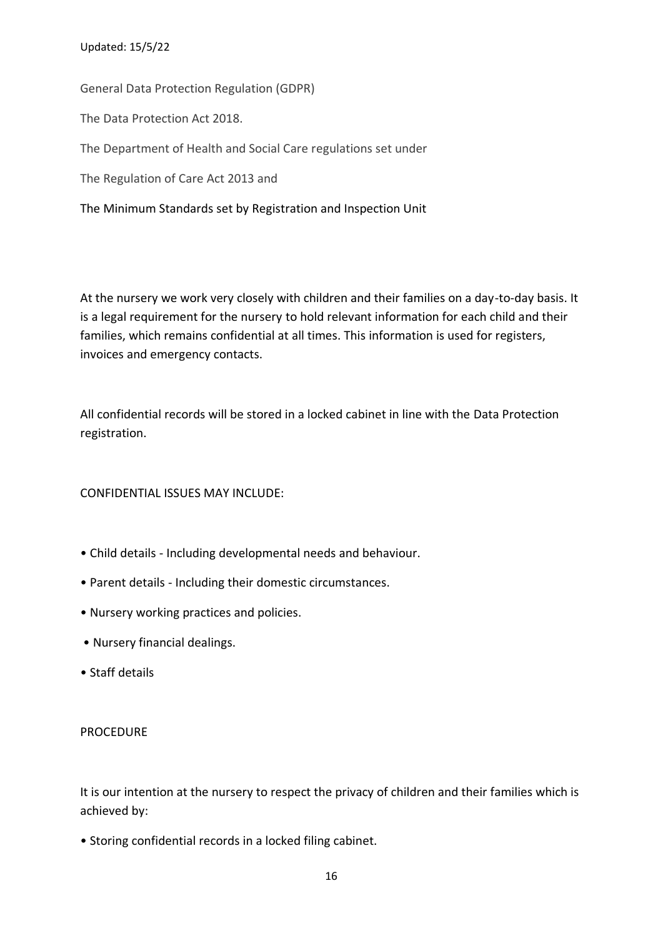#### Updated: 15/5/22

General Data Protection Regulation (GDPR) The Data Protection Act 2018. The Department of Health and Social Care regulations set under The Regulation of Care Act 2013 and The Minimum Standards set by Registration and Inspection Unit

At the nursery we work very closely with children and their families on a day-to-day basis. It is a legal requirement for the nursery to hold relevant information for each child and their families, which remains confidential at all times. This information is used for registers, invoices and emergency contacts.

All confidential records will be stored in a locked cabinet in line with the Data Protection registration.

### CONFIDENTIAL ISSUES MAY INCLUDE:

- Child details Including developmental needs and behaviour.
- Parent details Including their domestic circumstances.
- Nursery working practices and policies.
- Nursery financial dealings.
- Staff details

#### PROCEDURE

It is our intention at the nursery to respect the privacy of children and their families which is achieved by:

• Storing confidential records in a locked filing cabinet.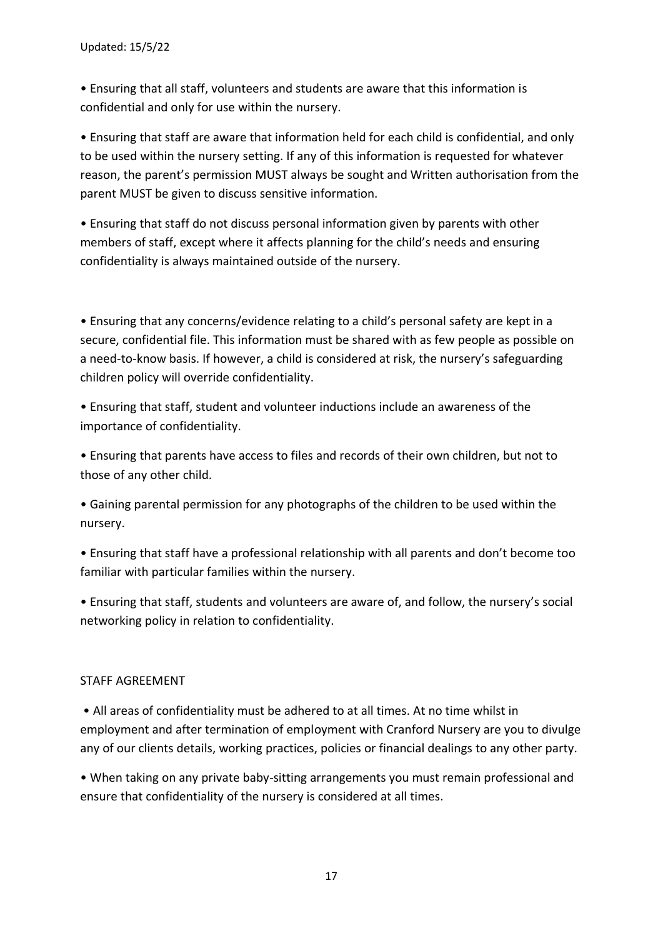• Ensuring that all staff, volunteers and students are aware that this information is confidential and only for use within the nursery.

• Ensuring that staff are aware that information held for each child is confidential, and only to be used within the nursery setting. If any of this information is requested for whatever reason, the parent's permission MUST always be sought and Written authorisation from the parent MUST be given to discuss sensitive information.

• Ensuring that staff do not discuss personal information given by parents with other members of staff, except where it affects planning for the child's needs and ensuring confidentiality is always maintained outside of the nursery.

• Ensuring that any concerns/evidence relating to a child's personal safety are kept in a secure, confidential file. This information must be shared with as few people as possible on a need-to-know basis. If however, a child is considered at risk, the nursery's safeguarding children policy will override confidentiality.

• Ensuring that staff, student and volunteer inductions include an awareness of the importance of confidentiality.

• Ensuring that parents have access to files and records of their own children, but not to those of any other child.

• Gaining parental permission for any photographs of the children to be used within the nursery.

• Ensuring that staff have a professional relationship with all parents and don't become too familiar with particular families within the nursery.

• Ensuring that staff, students and volunteers are aware of, and follow, the nursery's social networking policy in relation to confidentiality.

### STAFF AGREEMENT

• All areas of confidentiality must be adhered to at all times. At no time whilst in employment and after termination of employment with Cranford Nursery are you to divulge any of our clients details, working practices, policies or financial dealings to any other party.

• When taking on any private baby-sitting arrangements you must remain professional and ensure that confidentiality of the nursery is considered at all times.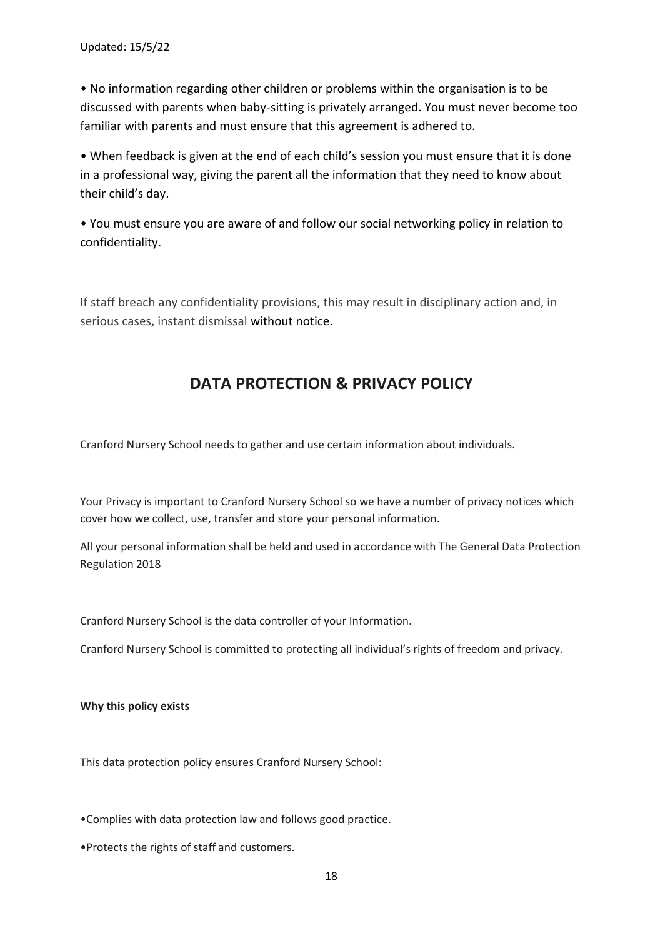• No information regarding other children or problems within the organisation is to be discussed with parents when baby-sitting is privately arranged. You must never become too familiar with parents and must ensure that this agreement is adhered to.

• When feedback is given at the end of each child's session you must ensure that it is done in a professional way, giving the parent all the information that they need to know about their child's day.

• You must ensure you are aware of and follow our social networking policy in relation to confidentiality.

If staff breach any confidentiality provisions, this may result in disciplinary action and, in serious cases, instant dismissal without notice.

# **DATA PROTECTION & PRIVACY POLICY**

Cranford Nursery School needs to gather and use certain information about individuals.

Your Privacy is important to Cranford Nursery School so we have a number of privacy notices which cover how we collect, use, transfer and store your personal information.

All your personal information shall be held and used in accordance with The General Data Protection Regulation 2018

Cranford Nursery School is the data controller of your Information.

Cranford Nursery School is committed to protecting all individual's rights of freedom and privacy.

**Why this policy exists**

This data protection policy ensures Cranford Nursery School:

•Complies with data protection law and follows good practice.

•Protects the rights of staff and customers.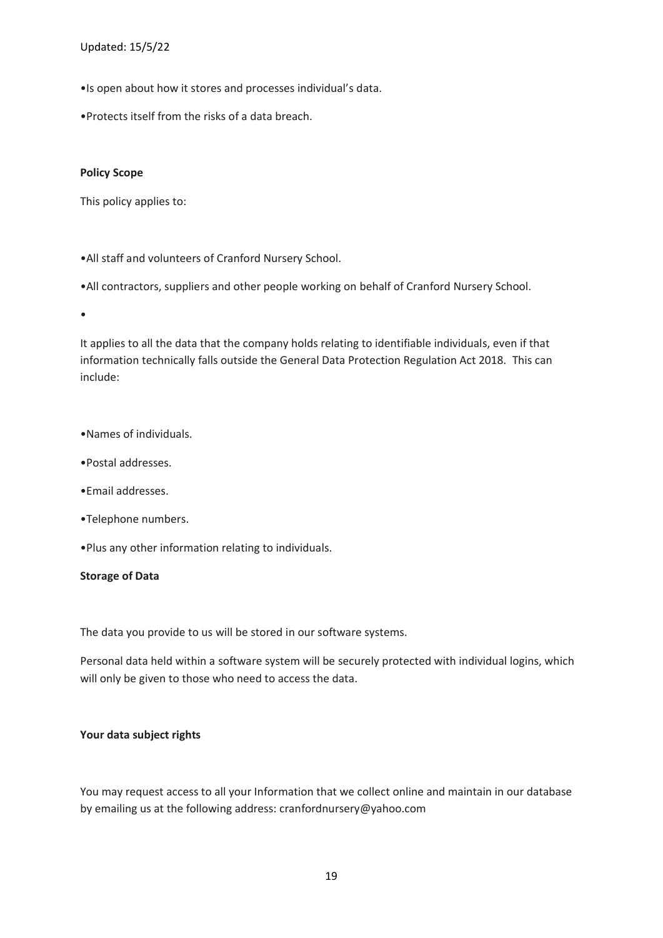#### Updated: 15/5/22

•Is open about how it stores and processes individual's data.

•Protects itself from the risks of a data breach.

#### **Policy Scope**

This policy applies to:

•All staff and volunteers of Cranford Nursery School.

•All contractors, suppliers and other people working on behalf of Cranford Nursery School.

•

It applies to all the data that the company holds relating to identifiable individuals, even if that information technically falls outside the General Data Protection Regulation Act 2018. This can include:

#### •Names of individuals.

- •Postal addresses.
- •Email addresses.
- •Telephone numbers.

•Plus any other information relating to individuals.

#### **Storage of Data**

The data you provide to us will be stored in our software systems.

Personal data held within a software system will be securely protected with individual logins, which will only be given to those who need to access the data.

#### **Your data subject rights**

You may request access to all your Information that we collect online and maintain in our database by emailing us at the following address: cranfordnursery@yahoo.com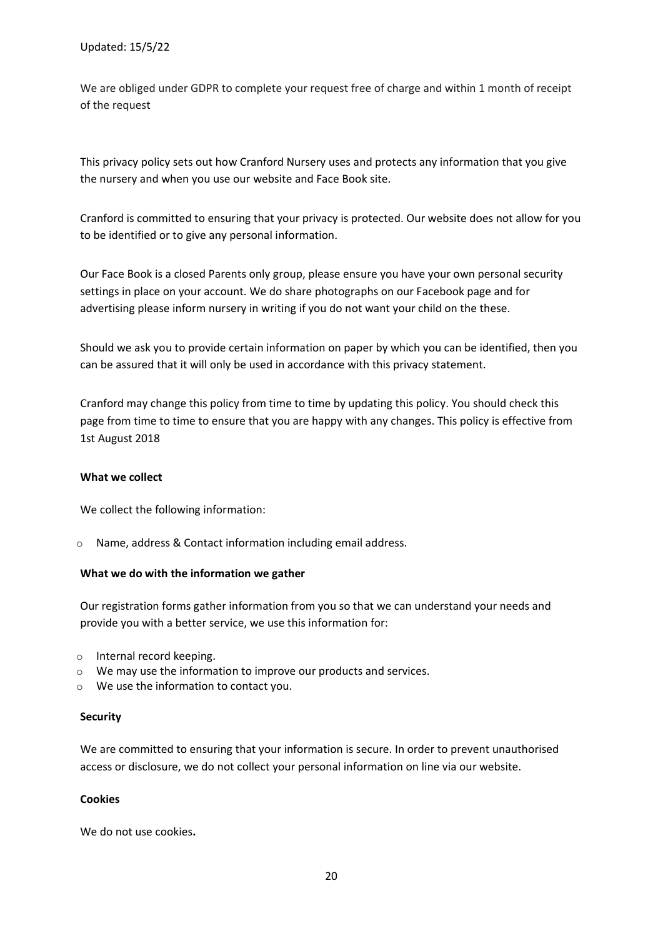We are obliged under GDPR to complete your request free of charge and within 1 month of receipt of the request

This privacy policy sets out how Cranford Nursery uses and protects any information that you give the nursery and when you use our website and Face Book site.

Cranford is committed to ensuring that your privacy is protected. Our website does not allow for you to be identified or to give any personal information.

Our Face Book is a closed Parents only group, please ensure you have your own personal security settings in place on your account. We do share photographs on our Facebook page and for advertising please inform nursery in writing if you do not want your child on the these.

Should we ask you to provide certain information on paper by which you can be identified, then you can be assured that it will only be used in accordance with this privacy statement.

Cranford may change this policy from time to time by updating this policy. You should check this page from time to time to ensure that you are happy with any changes. This policy is effective from 1st August 2018

#### **What we collect**

We collect the following information:

o Name, address & Contact information including email address.

#### **What we do with the information we gather**

Our registration forms gather information from you so that we can understand your needs and provide you with a better service, we use this information for:

- o Internal record keeping.
- o We may use the information to improve our products and services.
- o We use the information to contact you.

#### **Security**

We are committed to ensuring that your information is secure. In order to prevent unauthorised access or disclosure, we do not collect your personal information on line via our website.

#### **Cookies**

We do not use cookies**.**